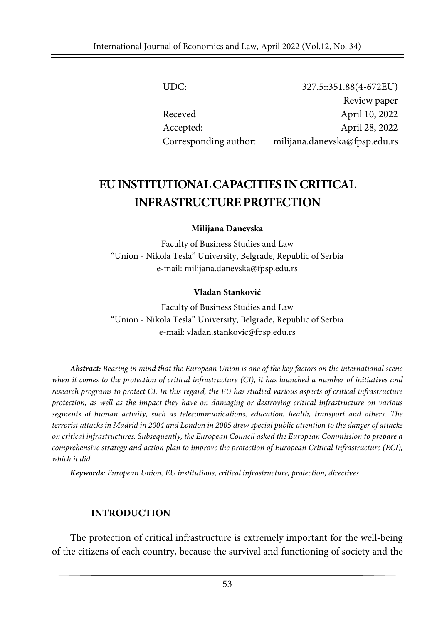UDC: 327.5::351.88(4-672EU) Review paper Receved April 10, 2022 Accepted: April 28, 2022 Corresponding author: milijana.danevska@fpsp.edu.rs

# **EUINSTITUTIONALCAPACITIES INCRITICAL INFRASTRUCTUREPROTECTION**

**Milijana Danevska**

Faculty of Business Studies and Law "Union - Nikola Tesla" University, Belgrade, Republic of Serbia e-mail: milijana.danevska@fpsp.edu.rs

#### **Vladan Stanković**

Faculty of Business Studies and Law "Union - Nikola Tesla" University, Belgrade, Republic of Serbia e-mail: vladan.stankovic@fpsp.edu.rs

Abstract: Bearing in mind that the European Union is one of the key factors on the international scene when it comes to the protection of critical infrastructure (CI), it has launched a number of initiatives and research programs to protect CI. In this regard, the EU has studied various aspects of critical infrastructure *protection, as well as the impact they have on damaging or destroying critical infrastructure on various segments of human activity, such as telecommunications, education, health, transport and others. The* terrorist attacks in Madrid in 2004 and London in 2005 drew special public attention to the danger of attacks *on critical infrastructures. Subsequently, the European Council asked the European Commission to prepare a comprehensive strategy and action plan to improve the protection of European Critical Infrastructure (ECI), which it did.*

*Keywords: European Union, EU institutions, critical infrastructure, protection, directives*

#### **INTRODUCTION**

The protection of critical infrastructure is extremely important for the well-being of the citizens of each country, because the survival and functioning of society and the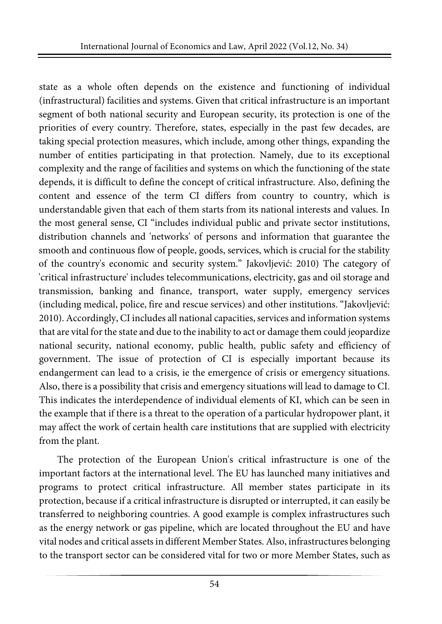state as a whole often depends on the existence and functioning of individual (infrastructural) facilities and systems. Given that critical infrastructure is an important segment of both national security and European security, its protection is one of the priorities of every country. Therefore, states, especially in the past few decades, are taking special protection measures, which include, among other things, expanding the number of entities participating in that protection. Namely, due to its exceptional complexity and the range of facilities and systems on which the functioning of the state depends, it is difficult to define the concept of critical infrastructure. Also, defining the content and essence of the term CI differs from country to country, which is understandable given that each of them starts from its national interests and values. In the most general sense, CI "includes individual public and private sector institutions, distribution channels and 'networks' of persons and information that guarantee the smooth and continuous flow of people, goods, services, which is crucial for the stability of the country's economic and security system." Jakovljević: 2010) The category of 'critical infrastructure' includes telecommunications, electricity, gas and oil storage and transmission, banking and finance, transport, water supply, emergency services (including medical, police, fire and rescue services) and other institutions. "Jakovljević: 2010). Accordingly, CI includes all national capacities, services and information systems that are vital forthe state and due to the inability to act or damage them could jeopardize national security, national economy, public health, public safety and efficiency of government. The issue of protection of CI is especially important because its endangerment can lead to a crisis, ie the emergence of crisis or emergency situations. Also, there is a possibility that crisis and emergency situations will lead to damage to CI. This indicates the interdependence of individual elements of KI, which can be seen in the example that if there is a threat to the operation of a particular hydropower plant, it may affect the work of certain health care institutions that are supplied with electricity from the plant.

The protection of the European Union's critical infrastructure is one of the important factors at the international level. The EU has launched many initiatives and programs to protect critical infrastructure. All member states participate in its protection, because if a critical infrastructure is disrupted or interrupted, it can easily be transferred to neighboring countries. A good example is complex infrastructures such as the energy network or gas pipeline, which are located throughout the EU and have vital nodes and critical assetsin different Member States. Also, infrastructures belonging to the transport sector can be considered vital for two or more Member States, such as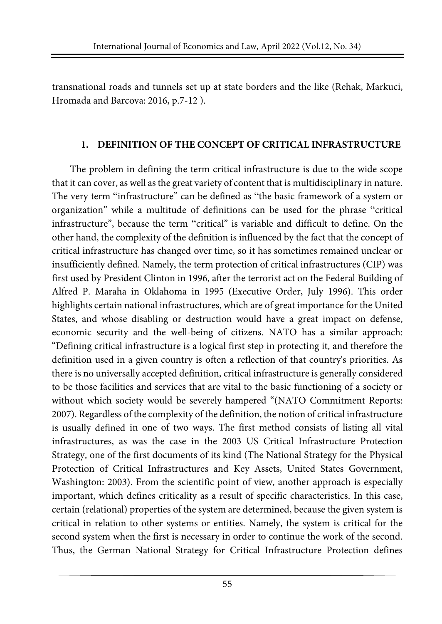transnational roads and tunnels set up at state borders and the like (Rehak, Markuci, Hromada and Barcova: 2016, p.7-12 ).

## **1. DEFINITION OF THE CONCEPT OF CRITICAL INFRASTRUCTURE**

The problem in defining the term critical infrastructure is due to the wide scope that it can cover, as well as the great variety of content that is multidisciplinary in nature. The very term "infrastructure" can be defined as "the basic framework of a system or organization" while a multitude of definitions can be used for the phrase "critical infrastructure", because the term "critical" is variable and difficult to define. On the other hand, the complexity of the definition is influenced by the fact that the concept of critical infrastructure has changed over time, so it has sometimes remained unclear or insufficiently defined. Namely, the term protection of critical infrastructures (CIP) was first used by President Clinton in 1996, after the terrorist act on the Federal Building of Alfred P. Maraha in Oklahoma in 1995 (Executive Order, July 1996). This order highlights certain national infrastructures, which are of great importance for the United States, and whose disabling or destruction would have a great impact on defense, economic security and the well-being of citizens. NATO has a similar approach: "Defining critical infrastructure is a logical first step in protecting it, and therefore the definition used in a given country is often a reflection of that country's priorities. As there is no universally accepted definition, critical infrastructure is generally considered to be those facilities and services that are vital to the basic functioning of a society or without which society would be severely hampered "(NATO Commitment Reports: 2007). Regardless of the complexity of the definition, the notion of critical infrastructure is usually defined in one of two ways. The first method consists of listing all vital infrastructures, as was the case in the 2003 US Critical Infrastructure Protection Strategy, one of the first documents of its kind (The National Strategy for the Physical Protection of Critical Infrastructures and Key Assets, United States Government, Washington: 2003). From the scientific point of view, another approach is especially important, which defines criticality as a result of specific characteristics. In this case, certain (relational) properties of the system are determined, because the given system is critical in relation to other systems or entities. Namely, the system is critical for the second system when the first is necessary in order to continue the work of the second. Thus, the German National Strategy for Critical Infrastructure Protection defines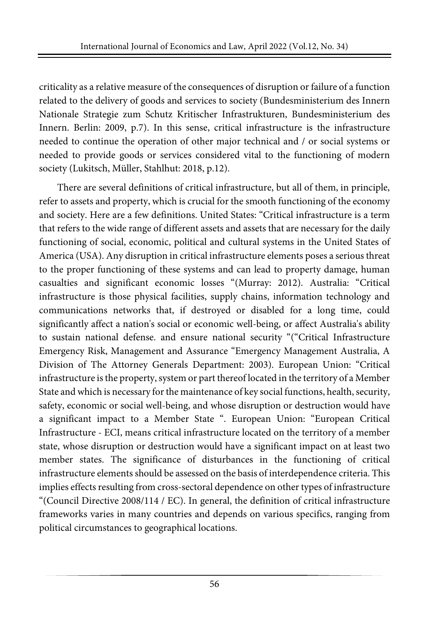criticality as a relative measure of the consequences of disruption or failure of a function related to the delivery of goods and services to society (Bundesministerium des Innern Nationale Strategie zum Schutz Kritischer Infrastrukturen, Bundesministerium des Innern. Berlin: 2009, p.7). In this sense, critical infrastructure is the infrastructure needed to continue the operation of other major technical and / or social systems or needed to provide goods or services considered vital to the functioning of modern society (Lukitsch, Müller, Stahlhut: 2018, p.12).

There are several definitions of critical infrastructure, but all of them, in principle, refer to assets and property, which is crucial for the smooth functioning of the economy and society. Here are a few definitions. United States: "Critical infrastructure is a term that refers to the wide range of different assets and assets that are necessary for the daily functioning of social, economic, political and cultural systems in the United States of America (USA). Any disruption in critical infrastructure elements poses a serious threat to the proper functioning of these systems and can lead to property damage, human casualties and significant economic losses "(Murray: 2012). Australia: "Critical infrastructure is those physical facilities, supply chains, information technology and communications networks that, if destroyed or disabled for a long time, could significantly affect a nation's social or economic well-being, or affect Australia's ability to sustain national defense. and ensure national security "("Critical Infrastructure Emergency Risk, Management and Assurance "Emergency Management Australia, A Division of The Attorney Generals Department: 2003). European Union: "Critical infrastructure is the property, system or part thereof located in the territory of a Member State and which is necessary for the maintenance of key social functions, health, security, safety, economic or social well-being, and whose disruption or destruction would have a significant impact to a Member State ". European Union: "European Critical Infrastructure - ECI, means critical infrastructure located on the territory of a member state, whose disruption or destruction would have a significant impact on at least two member states. The significance of disturbances in the functioning of critical infrastructure elements should be assessed on the basis of interdependence criteria. This implies effects resulting from cross-sectoral dependence on othertypes of infrastructure "(Council Directive 2008/114 / EC). In general, the definition of critical infrastructure frameworks varies in many countries and depends on various specifics, ranging from political circumstances to geographical locations.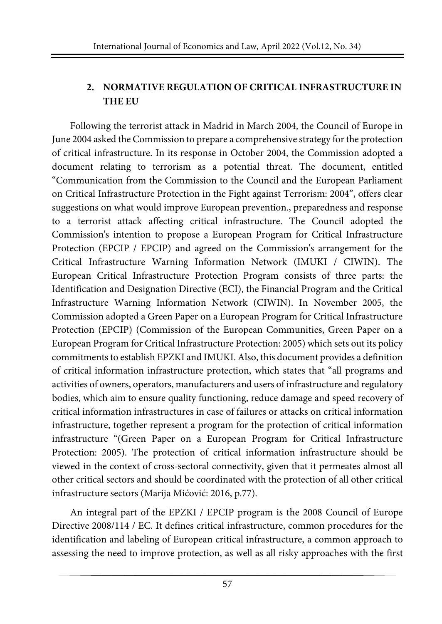## **2. NORMATIVE REGULATION OF CRITICAL INFRASTRUCTURE IN THE EU**

Following the terrorist attack in Madrid in March 2004, the Council of Europe in June 2004 asked the Commission to prepare a comprehensive strategy forthe protection of critical infrastructure. In its response in October 2004, the Commission adopted a document relating to terrorism as a potential threat. The document, entitled "Communication from the Commission to the Council and the European Parliament on Critical Infrastructure Protection in the Fight against Terrorism: 2004", offers clear suggestions on what would improve European prevention., preparedness and response to a terrorist attack affecting critical infrastructure. The Council adopted the Commission's intention to propose a European Program for Critical Infrastructure Protection (EPCIP / EPCIP) and agreed on the Commission's arrangement for the Critical Infrastructure Warning Information Network (IMUKI / CIWIN). The European Critical Infrastructure Protection Program consists of three parts: the Identification and Designation Directive (ECI), the Financial Program and the Critical Infrastructure Warning Information Network (CIWIN). In November 2005, the Commission adopted a Green Paper on a European Program for Critical Infrastructure Protection (EPCIP) (Commission of the European Communities, Green Paper on a European Program for Critical Infrastructure Protection: 2005) which sets out its policy commitments to establish EPZKI and IMUKI. Also, this document provides a definition of critical information infrastructure protection, which states that "all programs and activities of owners, operators, manufacturers and users of infrastructure and regulatory bodies, which aim to ensure quality functioning, reduce damage and speed recovery of critical information infrastructures in case of failures or attacks on critical information infrastructure, together represent a program for the protection of critical information infrastructure "(Green Paper on a European Program for Critical Infrastructure Protection: 2005). The protection of critical information infrastructure should be viewed in the context of cross-sectoral connectivity, given that it permeates almost all other critical sectors and should be coordinated with the protection of all other critical infrastructure sectors (Marija Mićović: 2016, p.77).

An integral part of the EPZKI / EPCIP program is the 2008 Council of Europe Directive 2008/114 / EC. It defines critical infrastructure, common procedures for the identification and labeling of European critical infrastructure, a common approach to assessing the need to improve protection, as well as all risky approaches with the first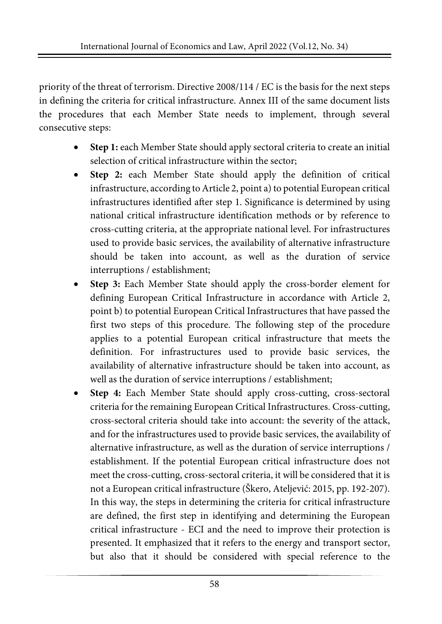priority of the threat of terrorism. Directive 2008/114 / EC is the basis for the next steps in defining the criteria for critical infrastructure. Annex III of the same document lists the procedures that each Member State needs to implement, through several consecutive steps:

- **Step 1:** each Member State should apply sectoral criteria to create an initial selection of critical infrastructure within the sector;
- **Step 2:** each Member State should apply the definition of critical infrastructure, according to Article 2, point a) to potential European critical infrastructures identified after step 1. Significance is determined by using national critical infrastructure identification methods or by reference to cross-cutting criteria, at the appropriate national level. For infrastructures used to provide basic services, the availability of alternative infrastructure should be taken into account, as well as the duration of service interruptions / establishment;
- **Step 3:** Each Member State should apply the cross-border element for defining European Critical Infrastructure in accordance with Article 2, point b) to potential European Critical Infrastructures that have passed the first two steps of this procedure. The following step of the procedure applies to a potential European critical infrastructure that meets the definition. For infrastructures used to provide basic services, the availability of alternative infrastructure should be taken into account, as well as the duration of service interruptions / establishment;
- **Step 4:** Each Member State should apply cross-cutting, cross-sectoral criteria for the remaining European Critical Infrastructures. Cross-cutting, cross-sectoral criteria should take into account: the severity of the attack, and for the infrastructures used to provide basic services, the availability of alternative infrastructure, as well as the duration of service interruptions / establishment. If the potential European critical infrastructure does not meet the cross-cutting, cross-sectoral criteria, it will be considered that it is not a European critical infrastructure (Škero, Ateljević: 2015, pp. 192-207). In this way, the steps in determining the criteria for critical infrastructure are defined, the first step in identifying and determining the European critical infrastructure - ECI and the need to improve their protection is presented. It emphasized that it refers to the energy and transport sector, but also that it should be considered with special reference to the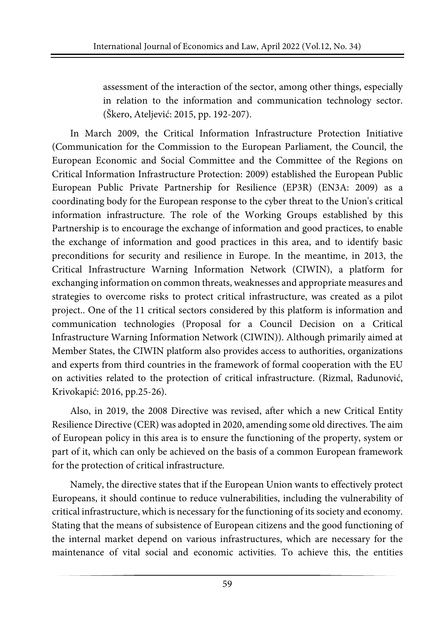assessment of the interaction of the sector, among other things, especially in relation to the information and communication technology sector. (Škero, Ateljević: 2015, pp. 192-207).

In March 2009, the Critical Information Infrastructure Protection Initiative (Communication for the Commission to the European Parliament, the Council, the European Economic and Social Committee and the Committee of the Regions on Critical Information Infrastructure Protection: 2009) established the European Public European Public Private Partnership for Resilience (EP3R) (EN3A: 2009) as a coordinating body for the European response to the cyber threat to the Union's critical information infrastructure. The role of the Working Groups established by this Partnership is to encourage the exchange of information and good practices, to enable the exchange of information and good practices in this area, and to identify basic preconditions for security and resilience in Europe. In the meantime, in 2013, the Critical Infrastructure Warning Information Network (CIWIN), a platform for exchanging information on common threats, weaknesses and appropriate measures and strategies to overcome risks to protect critical infrastructure, was created as a pilot project.. One of the 11 critical sectors considered by this platform is information and communication technologies (Proposal for a Council Decision on a Critical Infrastructure Warning Information Network (CIWIN)). Although primarily aimed at Member States, the CIWIN platform also provides access to authorities, organizations and experts from third countries in the framework of formal cooperation with the EU on activities related to the protection of critical infrastructure. (Rizmal, Radunović, Krivokapić: 2016, pp.25-26).

Also, in 2019, the 2008 Directive was revised, after which a new Critical Entity Resilience Directive (CER) was adopted in 2020, amending some old directives. The aim of European policy in this area is to ensure the functioning of the property, system or part of it, which can only be achieved on the basis of a common European framework for the protection of critical infrastructure.

Namely, the directive states that if the European Union wants to effectively protect Europeans, it should continue to reduce vulnerabilities, including the vulnerability of critical infrastructure, which is necessary forthe functioning of its society and economy. Stating that the means of subsistence of European citizens and the good functioning of the internal market depend on various infrastructures, which are necessary for the maintenance of vital social and economic activities. To achieve this, the entities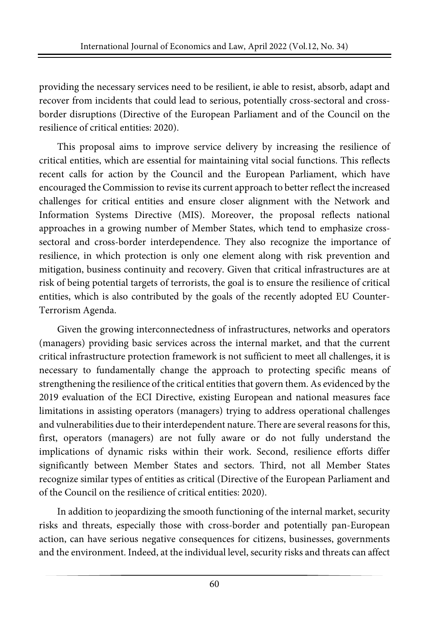providing the necessary services need to be resilient, ie able to resist, absorb, adapt and recover from incidents that could lead to serious, potentially cross-sectoral and crossborder disruptions (Directive of the European Parliament and of the Council on the resilience of critical entities: 2020).

This proposal aims to improve service delivery by increasing the resilience of critical entities, which are essential for maintaining vital social functions. This reflects recent calls for action by the Council and the European Parliament, which have encouraged the Commission to revise its current approach to betterreflect the increased challenges for critical entities and ensure closer alignment with the Network and Information Systems Directive (MIS). Moreover, the proposal reflects national approaches in a growing number of Member States, which tend to emphasize crosssectoral and cross-border interdependence. They also recognize the importance of resilience, in which protection is only one element along with risk prevention and mitigation, business continuity and recovery. Given that critical infrastructures are at risk of being potential targets of terrorists, the goal is to ensure the resilience of critical entities, which is also contributed by the goals of the recently adopted EU Counter-Terrorism Agenda.

Given the growing interconnectedness of infrastructures, networks and operators (managers) providing basic services across the internal market, and that the current critical infrastructure protection framework is not sufficient to meet all challenges, it is necessary to fundamentally change the approach to protecting specific means of strengthening the resilience of the critical entities that govern them. As evidenced by the 2019 evaluation of the ECI Directive, existing European and national measures face limitations in assisting operators (managers) trying to address operational challenges and vulnerabilities due to their interdependent nature. There are several reasons for this, first, operators (managers) are not fully aware or do not fully understand the implications of dynamic risks within their work. Second, resilience efforts differ significantly between Member States and sectors. Third, not all Member States recognize similar types of entities as critical (Directive of the European Parliament and of the Council on the resilience of critical entities: 2020).

In addition to jeopardizing the smooth functioning of the internal market, security risks and threats, especially those with cross-border and potentially pan-European action, can have serious negative consequences for citizens, businesses, governments and the environment. Indeed, at the individual level, security risks and threats can affect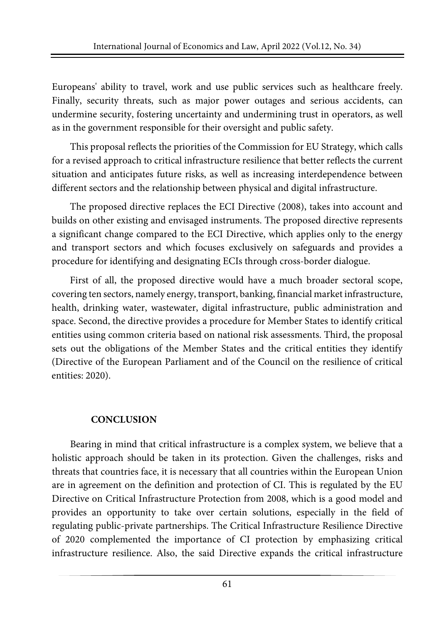Europeans' ability to travel, work and use public services such as healthcare freely. Finally, security threats, such as major power outages and serious accidents, can undermine security, fostering uncertainty and undermining trust in operators, as well as in the government responsible for their oversight and public safety.

This proposal reflects the priorities of the Commission for EU Strategy, which calls for a revised approach to critical infrastructure resilience that better reflects the current situation and anticipates future risks, as well as increasing interdependence between different sectors and the relationship between physical and digital infrastructure.

The proposed directive replaces the ECI Directive (2008), takes into account and builds on other existing and envisaged instruments. The proposed directive represents a significant change compared to the ECI Directive, which applies only to the energy and transport sectors and which focuses exclusively on safeguards and provides a procedure for identifying and designating ECIs through cross-border dialogue.

First of all, the proposed directive would have a much broader sectoral scope, covering ten sectors, namely energy, transport, banking, financial market infrastructure, health, drinking water, wastewater, digital infrastructure, public administration and space. Second, the directive provides a procedure for Member States to identify critical entities using common criteria based on national risk assessments. Third, the proposal sets out the obligations of the Member States and the critical entities they identify (Directive of the European Parliament and of the Council on the resilience of critical entities: 2020).

### **CONCLUSION**

Bearing in mind that critical infrastructure is a complex system, we believe that a holistic approach should be taken in its protection. Given the challenges, risks and threats that countries face, it is necessary that all countries within the European Union are in agreement on the definition and protection of CI. This is regulated by the EU Directive on Critical Infrastructure Protection from 2008, which is a good model and provides an opportunity to take over certain solutions, especially in the field of regulating public-private partnerships. The Critical Infrastructure Resilience Directive of 2020 complemented the importance of CI protection by emphasizing critical infrastructure resilience. Also, the said Directive expands the critical infrastructure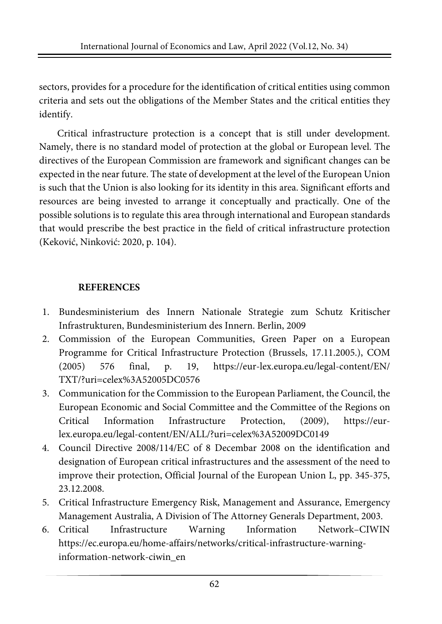sectors, provides for a procedure for the identification of critical entities using common criteria and sets out the obligations of the Member States and the critical entities they identify.

Critical infrastructure protection is a concept that is still under development. Namely, there is no standard model of protection at the global or European level. The directives of the European Commission are framework and significant changes can be expected in the near future. The state of development at the level of the European Union is such that the Union is also looking for its identity in this area. Significant efforts and resources are being invested to arrange it conceptually and practically. One of the possible solutions is to regulate this area through international and European standards that would prescribe the best practice in the field of critical infrastructure protection (Keković, Ninković: 2020, p. 104).

# **REFERENCES**

- 1. Bundesministerium des Innern Nationale Strategie zum Schutz Kritischer Infrastrukturen, Bundesministerium des Innern. Berlin, 2009
- 2. Commission of the European Communities, Green Paper on a European Programme for Critical Infrastructure Protection (Brussels, 17.11.2005.), COM (2005) 576 final, p. 19, https://eur-lex.europa.eu/legal-content/EN/ TXT/?uri=celex%3A52005DC0576
- 3. Communication for the Commission to the European Parliament, the Council, the European Economic and Social Committee and the Committee of the Regions on Critical Information Infrastructure Protection, (2009), https://eurlex.europa.eu/legal-content/EN/ALL/?uri=celex%3A52009DC0149
- 4. Council Directive 2008/114/EC of 8 Decembar 2008 on the identification and designation of European critical infrastructures and the assessment of the need to improve their protection, Official Journal of the European Union L, pp. 345-375, 23.12.2008.
- 5. Critical Infrastructure Emergency Risk, Management and Assurance, Emergency Management Australia, A Division of The Attorney Generals Department, 2003.
- 6. Critical Infrastructure Warning Information Network–CIWIN https://ec.europa.eu/home-affairs/networks/critical-infrastructure-warninginformation-network-ciwin\_en